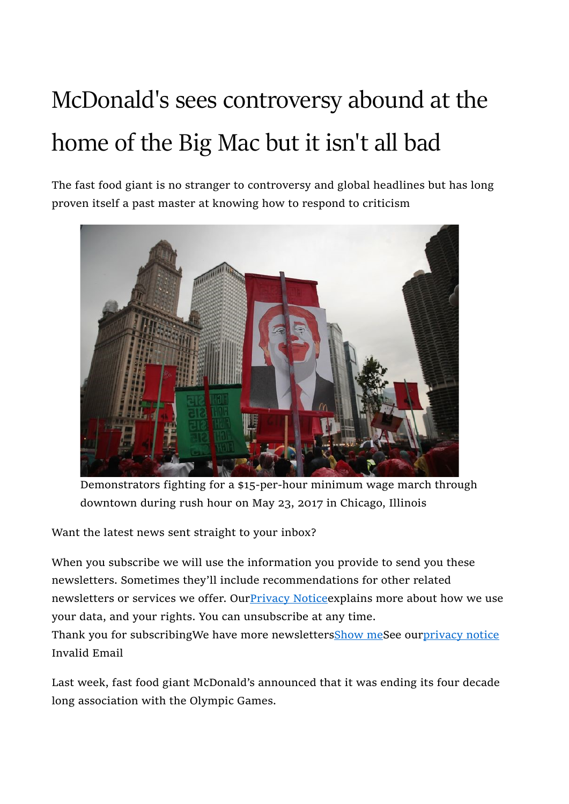## McDonald's sees controversy abound at the home of the Big Mac but it isn't all bad

The fast food giant is no stranger to controversy and global headlines but has long proven itself a past master at knowing how to respond to criticism



Demonstrators fighting for a \$15-per-hour minimum wage march through downtown during rush hour on May 23, 2017 in Chicago, Illinois

Want the latest news sent straight to your inbox?

When you subscribe we will use the information you provide to send you these newsletters. Sometimes they'll include recommendations for other related newsletters or services we offer. Our Privacy Notice explains more about how we use your data, and your rights. You can unsubscribe at any time.

Thank you for subscribingWe have more newslettersShow meSee ourprivacy notice Invalid Email

Last week, fast food giant McDonald's announced that it was ending its four decade long association with the Olympic Games.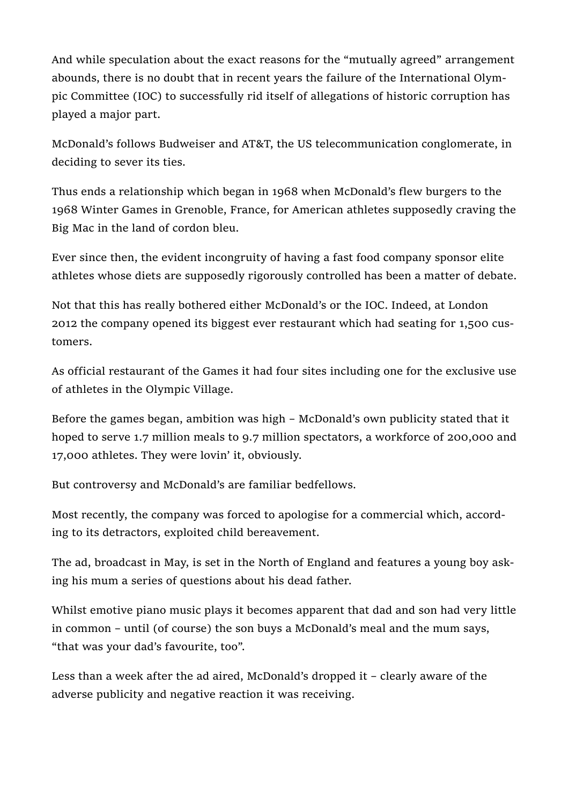And while speculation about the exact reasons for the "mutually agreed" arrangement abounds, there is no doubt that in recent years the failure of the International Olympic Committee (IOC) to successfully rid itself of allegations of historic corruption has played a major part.

McDonald's follows Budweiser and AT&T, the US telecommunication conglomerate, in deciding to sever its ties.

Thus ends a relationship which began in 1968 when McDonald's flew burgers to the 1968 Winter Games in Grenoble, France, for American athletes supposedly craving the Big Mac in the land of cordon bleu.

Ever since then, the evident incongruity of having a fast food company sponsor elite athletes whose diets are supposedly rigorously controlled has been a matter of debate.

Not that this has really bothered either McDonald's or the IOC. Indeed, at London 2012 the company opened its biggest ever restaurant which had seating for 1,500 customers.

As official restaurant of the Games it had four sites including one for the exclusive use of athletes in the Olympic Village.

Before the games began, ambition was high – McDonald's own publicity stated that it hoped to serve 1.7 million meals to 9.7 million spectators, a workforce of 200,000 and 17,000 athletes. They were lovin' it, obviously.

But controversy and McDonald's are familiar bedfellows.

Most recently, the company was forced to apologise for a commercial which, according to its detractors, exploited child bereavement.

The ad, broadcast in May, is set in the North of England and features a young boy asking his mum a series of questions about his dead father.

Whilst emotive piano music plays it becomes apparent that dad and son had very little in common – until (of course) the son buys a McDonald's meal and the mum says, "that was your dad's favourite, too".

Less than a week after the ad aired, McDonald's dropped it – clearly aware of the adverse publicity and negative reaction it was receiving.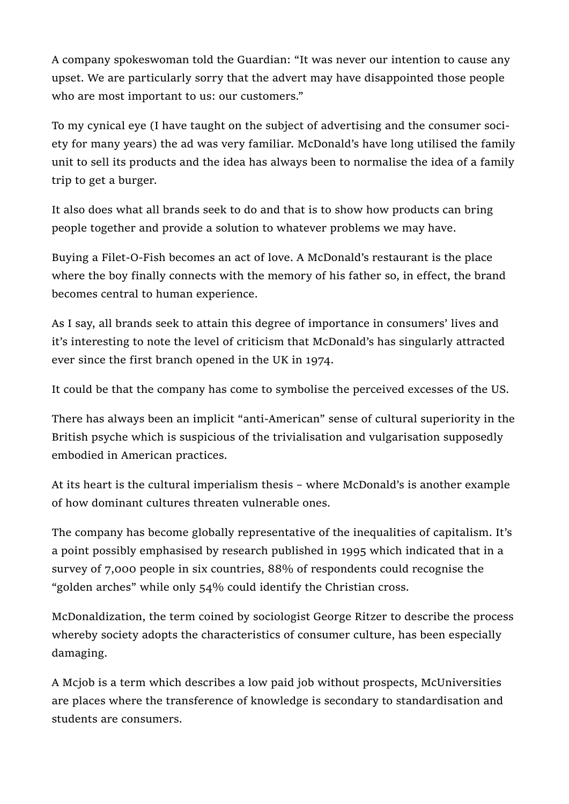A company spokeswoman told the Guardian: "It was never our intention to cause any upset. We are particularly sorry that the advert may have disappointed those people who are most important to us: our customers."

To my cynical eye (I have taught on the subject of advertising and the consumer society for many years) the ad was very familiar. McDonald's have long utilised the family unit to sell its products and the idea has always been to normalise the idea of a family trip to get a burger.

It also does what all brands seek to do and that is to show how products can bring people together and provide a solution to whatever problems we may have.

Buying a Filet-O-Fish becomes an act of love. A McDonald's restaurant is the place where the boy finally connects with the memory of his father so, in effect, the brand becomes central to human experience.

As I say, all brands seek to attain this degree of importance in consumers' lives and it's interesting to note the level of criticism that McDonald's has singularly attracted ever since the first branch opened in the UK in 1974.

It could be that the company has come to symbolise the perceived excesses of the US.

There has always been an implicit "anti-American" sense of cultural superiority in the British psyche which is suspicious of the trivialisation and vulgarisation supposedly embodied in American practices.

At its heart is the cultural imperialism thesis – where McDonald's is another example of how dominant cultures threaten vulnerable ones.

The company has become globally representative of the inequalities of capitalism. It's a point possibly emphasised by research published in 1995 which indicated that in a survey of 7,000 people in six countries, 88% of respondents could recognise the "golden arches" while only 54% could identify the Christian cross.

McDonaldization, the term coined by sociologist George Ritzer to describe the process whereby society adopts the characteristics of consumer culture, has been especially damaging.

A Mcjob is a term which describes a low paid job without prospects, McUniversities are places where the transference of knowledge is secondary to standardisation and students are consumers.